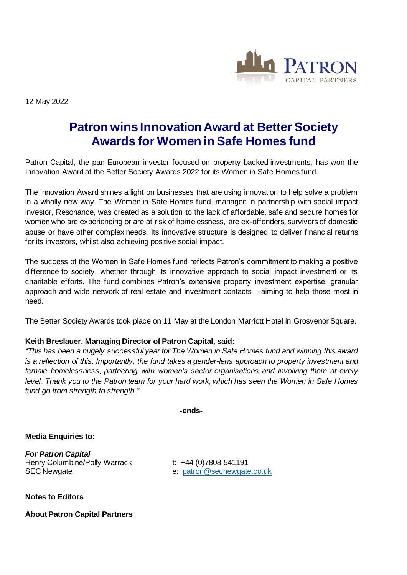

12 May 2022

## **Patron wins Innovation Award at Better Society Awards for Women in Safe Homes fund**

Patron Capital, the pan-European investor focused on property-backed investments, has won the Innovation Award at the Better Society Awards 2022 for its Women in Safe Homes fund.

The Innovation Award shines a light on businesses that are using innovation to help solve a problem in a wholly new way. The Women in Safe Homes fund, managed in partnership with social impact investor, Resonance, was created as a solution to the lack of affordable, safe and secure homes for women who are experiencing or are at risk of homelessness, are ex-offenders, survivors of domestic abuse or have other complex needs. Its innovative structure is designed to deliver financial returns for its investors, whilst also achieving positive social impact.

The success of the Women in Safe Homes fund reflects Patron's commitment to making a positive difference to society, whether through its innovative approach to social impact investment or its charitable efforts. The fund combines Patron's extensive property investment expertise, granular approach and wide network of real estate and investment contacts – aiming to help those most in need.

The Better Society Awards took place on 11 May at the London Marriott Hotel in Grosvenor Square.

## **Keith Breslauer, Managing Director of Patron Capital, said:**

*"This has been a hugely successful year for The Women in Safe Homes fund and winning this award is a reflection of this. Importantly, the fund takes a gender-lens approach to property investment and female homelessness, partnering with women's sector organisations and involving them at every level. Thank you to the Patron team for your hard work, which has seen the Women in Safe Homes fund go from strength to strength."*

**-ends-**

**Media Enquiries to:**

*For Patron Capital* Henry Columbine/Polly Warrack t: +44 (0)7808 541191 SEC Newgate **EXACTE EXACTE:** e: [patron@secnewgate.co.uk](mailto:patron@secnewgate.co.uk)

**Notes to Editors**

**About Patron Capital Partners**